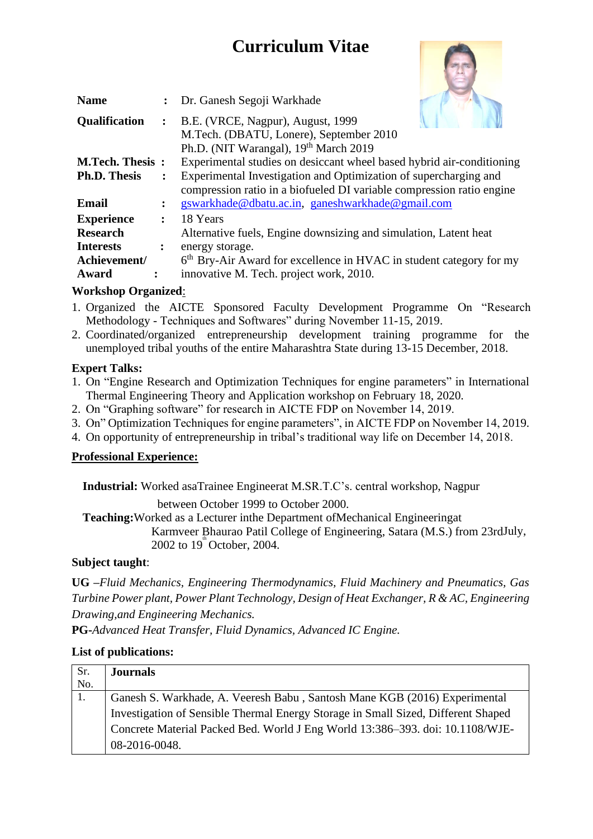# **Curriculum Vitae**



| <b>Name</b>         |                                                                                                 | : Dr. Ganesh Segoji Warkhade                                                    |  |  |
|---------------------|-------------------------------------------------------------------------------------------------|---------------------------------------------------------------------------------|--|--|
| Qualification       | $\ddot{\cdot}$                                                                                  | B.E. (VRCE, Nagpur), August, 1999                                               |  |  |
|                     |                                                                                                 | M.Tech. (DBATU, Lonere), September 2010                                         |  |  |
|                     |                                                                                                 | Ph.D. (NIT Warangal), 19 <sup>th</sup> March 2019                               |  |  |
|                     | Experimental studies on desiccant wheel based hybrid air-conditioning<br><b>M.Tech. Thesis:</b> |                                                                                 |  |  |
| <b>Ph.D. Thesis</b> |                                                                                                 | Experimental Investigation and Optimization of supercharging and                |  |  |
|                     |                                                                                                 | compression ratio in a biofueled DI variable compression ratio engine           |  |  |
| <b>Email</b>        |                                                                                                 | gswarkhade@dbatu.ac.in, ganeshwarkhade@gmail.com                                |  |  |
| <b>Experience</b>   | $\ddot{\cdot}$                                                                                  | 18 Years                                                                        |  |  |
| <b>Research</b>     | Alternative fuels, Engine downsizing and simulation, Latent heat                                |                                                                                 |  |  |
| <b>Interests</b>    |                                                                                                 | energy storage.                                                                 |  |  |
| Achievement/        |                                                                                                 | 6 <sup>th</sup> Bry-Air Award for excellence in HVAC in student category for my |  |  |
| Award               |                                                                                                 | innovative M. Tech. project work, 2010.                                         |  |  |

# **Workshop Organized**:

- 1. Organized the AICTE Sponsored Faculty Development Programme On "Research Methodology - Techniques and Softwares" during November 11-15, 2019.
- 2. Coordinated/organized entrepreneurship development training programme for the unemployed tribal youths of the entire Maharashtra State during 13-15 December, 2018.

#### **Expert Talks:**

- 1. On "Engine Research and Optimization Techniques for engine parameters" in International Thermal Engineering Theory and Application workshop on February 18, 2020.
- 2. On "Graphing software" for research in AICTE FDP on November 14, 2019.
- 3. On" Optimization Techniques for engine parameters", in AICTE FDP on November 14, 2019.
- 4. On opportunity of entrepreneurship in tribal's traditional way life on December 14, 2018.

#### **Professional Experience:**

**Industrial:** Worked asaTrainee Engineerat M.SR.T.C's. central workshop, Nagpur

between October 1999 to October 2000.

**Teaching:**Worked as a Lecturer inthe Department ofMechanical Engineeringat

Karmveer Bhaurao Patil College of Engineering, Satara (M.S.) from 23rdJuly, 2002 to  $19^{\circ}$  October, 2004.

## **Subject taught**:

**UG –***Fluid Mechanics, Engineering Thermodynamics, Fluid Machinery and Pneumatics, Gas Turbine Power plant, Power Plant Technology, Design of Heat Exchanger, R & AC, Engineering Drawing,and Engineering Mechanics.*

**PG-***Advanced Heat Transfer, Fluid Dynamics, Advanced IC Engine.* 

## **List of publications:**

| Sr. | <b>Journals</b>                                                                   |
|-----|-----------------------------------------------------------------------------------|
| No. |                                                                                   |
| 1.  | Ganesh S. Warkhade, A. Veeresh Babu, Santosh Mane KGB (2016) Experimental         |
|     | Investigation of Sensible Thermal Energy Storage in Small Sized, Different Shaped |
|     | Concrete Material Packed Bed. World J Eng World 13:386-393. doi: 10.1108/WJE-     |
|     | 08-2016-0048.                                                                     |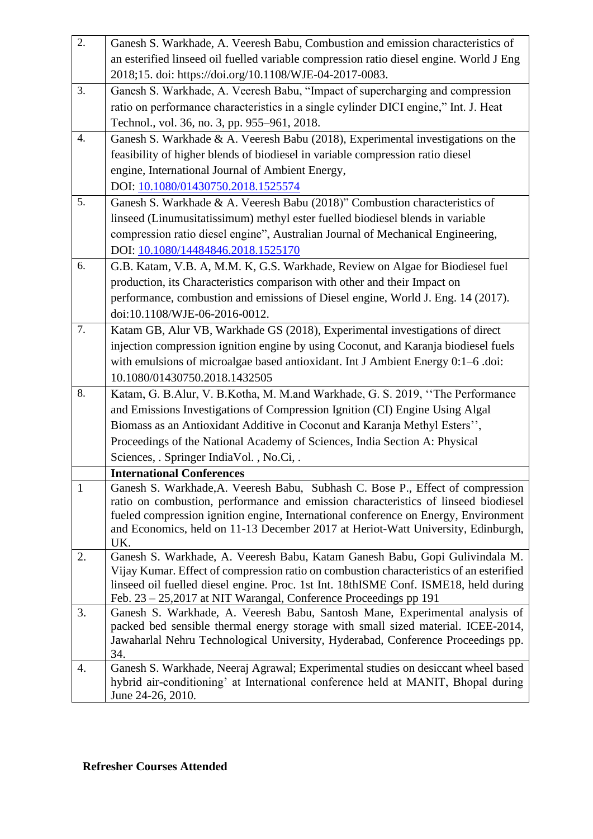| 2.           | Ganesh S. Warkhade, A. Veeresh Babu, Combustion and emission characteristics of                                                                                         |
|--------------|-------------------------------------------------------------------------------------------------------------------------------------------------------------------------|
|              | an esterified linseed oil fuelled variable compression ratio diesel engine. World J Eng                                                                                 |
|              | 2018;15. doi: https://doi.org/10.1108/WJE-04-2017-0083.                                                                                                                 |
| 3.           | Ganesh S. Warkhade, A. Veeresh Babu, "Impact of supercharging and compression                                                                                           |
|              | ratio on performance characteristics in a single cylinder DICI engine," Int. J. Heat                                                                                    |
|              | Technol., vol. 36, no. 3, pp. 955-961, 2018.                                                                                                                            |
| 4.           | Ganesh S. Warkhade & A. Veeresh Babu (2018), Experimental investigations on the                                                                                         |
|              | feasibility of higher blends of biodiesel in variable compression ratio diesel                                                                                          |
|              | engine, International Journal of Ambient Energy,                                                                                                                        |
|              | DOI: 10.1080/01430750.2018.1525574                                                                                                                                      |
| 5.           | Ganesh S. Warkhade & A. Veeresh Babu (2018)" Combustion characteristics of                                                                                              |
|              | linseed (Linumusitatissimum) methyl ester fuelled biodiesel blends in variable                                                                                          |
|              | compression ratio diesel engine", Australian Journal of Mechanical Engineering,                                                                                         |
|              | DOI: 10.1080/14484846.2018.1525170                                                                                                                                      |
| 6.           | G.B. Katam, V.B. A, M.M. K, G.S. Warkhade, Review on Algae for Biodiesel fuel                                                                                           |
|              | production, its Characteristics comparison with other and their Impact on                                                                                               |
|              | performance, combustion and emissions of Diesel engine, World J. Eng. 14 (2017).                                                                                        |
|              | doi:10.1108/WJE-06-2016-0012.                                                                                                                                           |
| 7.           | Katam GB, Alur VB, Warkhade GS (2018), Experimental investigations of direct                                                                                            |
|              | injection compression ignition engine by using Coconut, and Karanja biodiesel fuels                                                                                     |
|              | with emulsions of microalgae based antioxidant. Int J Ambient Energy 0:1-6 .doi:                                                                                        |
|              | 10.1080/01430750.2018.1432505                                                                                                                                           |
| 8.           | Katam, G. B.Alur, V. B.Kotha, M. M.and Warkhade, G. S. 2019, "The Performance                                                                                           |
|              | and Emissions Investigations of Compression Ignition (CI) Engine Using Algal                                                                                            |
|              | Biomass as an Antioxidant Additive in Coconut and Karanja Methyl Esters",                                                                                               |
|              | Proceedings of the National Academy of Sciences, India Section A: Physical                                                                                              |
|              | Sciences, . Springer IndiaVol., No.Ci, .                                                                                                                                |
|              | <b>International Conferences</b>                                                                                                                                        |
| $\mathbf{1}$ | Ganesh S. Warkhade, A. Veeresh Babu, Subhash C. Bose P., Effect of compression                                                                                          |
|              | ratio on combustion, performance and emission characteristics of linseed biodiesel                                                                                      |
|              | fueled compression ignition engine, International conference on Energy, Environment<br>and Economics, held on 11-13 December 2017 at Heriot-Watt University, Edinburgh, |
|              | UK.                                                                                                                                                                     |
| 2.           | Ganesh S. Warkhade, A. Veeresh Babu, Katam Ganesh Babu, Gopi Gulivindala M.                                                                                             |
|              | Vijay Kumar. Effect of compression ratio on combustion characteristics of an esterified                                                                                 |
|              | linseed oil fuelled diesel engine. Proc. 1st Int. 18thISME Conf. ISME18, held during                                                                                    |
|              | Feb. 23 – 25,2017 at NIT Warangal, Conference Proceedings pp 191                                                                                                        |
| 3.           | Ganesh S. Warkhade, A. Veeresh Babu, Santosh Mane, Experimental analysis of                                                                                             |
|              | packed bed sensible thermal energy storage with small sized material. ICEE-2014,                                                                                        |
|              | Jawaharlal Nehru Technological University, Hyderabad, Conference Proceedings pp.<br>34.                                                                                 |
| 4.           | Ganesh S. Warkhade, Neeraj Agrawal; Experimental studies on desiccant wheel based                                                                                       |
|              | hybrid air-conditioning' at International conference held at MANIT, Bhopal during                                                                                       |
|              | June 24-26, 2010.                                                                                                                                                       |